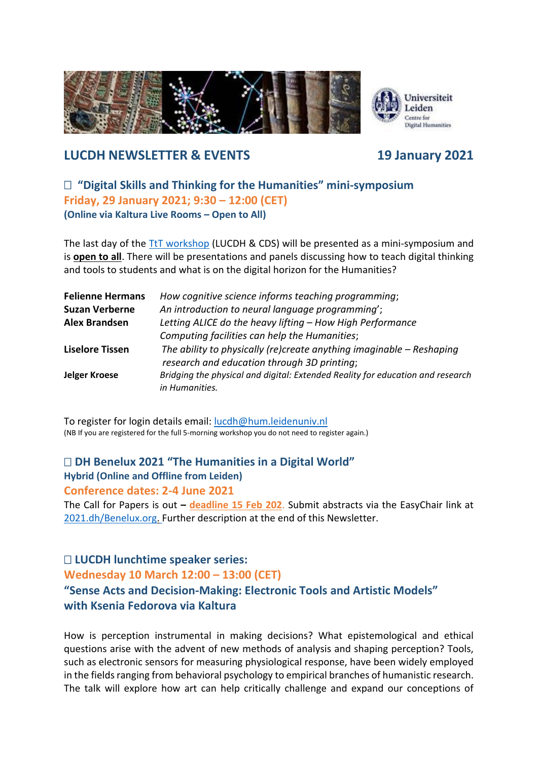

# **LUCDH NEWSLETTER & EVENTS 19 January 2021**

## **"Digital Skills and Thinking for the Humanities" mini-symposium Friday, 29 January 2021; 9:30 – 12:00 (CET) (Online via Kaltura Live Rooms – Open to All)**

The last day of the [TtT workshop](https://www.universiteitleiden.nl/en/events/2021/01/teach-the-teachers-workshop-in-digital-skills) (LUCDH & CDS) will be presented as a mini-symposium and is **open to all**. There will be presentations and panels discussing how to teach digital thinking and tools to students and what is on the digital horizon for the Humanities?

| <b>Felienne Hermans</b> | How cognitive science informs teaching programming;                                                                   |
|-------------------------|-----------------------------------------------------------------------------------------------------------------------|
| <b>Suzan Verberne</b>   | An introduction to neural language programming';                                                                      |
| <b>Alex Brandsen</b>    | Letting ALICE do the heavy lifting - How High Performance                                                             |
|                         | Computing facilities can help the Humanities;                                                                         |
| <b>Liselore Tissen</b>  | The ability to physically (re)create anything imaginable $-$ Reshaping<br>research and education through 3D printing; |
| <b>Jelger Kroese</b>    | Bridging the physical and digital: Extended Reality for education and research<br>in Humanities.                      |

To register for login details email: [lucdh@hum.leidenuniv.nl](mailto:lucdh@hum.leidenuniv.nl) (NB If you are registered for the full 5-morning workshop you do not need to register again.)

# **DH Benelux 2021 "The Humanities in a Digital World" Hybrid (Online and Offline from Leiden)**

**Conference dates: 2-4 June 2021** 

The Call for Papers is out **– deadline 15 Feb 202**. Submit abstracts via the EasyChair link at [2021.dh/Benelux.org.](https://2021.dhbenelux.org/call-for-papers/) Further description at the end of this Newsletter.

# **LUCDH lunchtime speaker series:**

#### **Wednesday 10 March 12:00 – 13:00 (CET)**

# **"Sense Acts and Decision-Making: Electronic Tools and Artistic Models" with Ksenia Fedorova via Kaltura**

How is perception instrumental in making decisions? What epistemological and ethical questions arise with the advent of new methods of analysis and shaping perception? Tools, such as electronic sensors for measuring physiological response, have been widely employed in the fields ranging from behavioral psychology to empirical branches of humanistic research. The talk will explore how art can help critically challenge and expand our conceptions of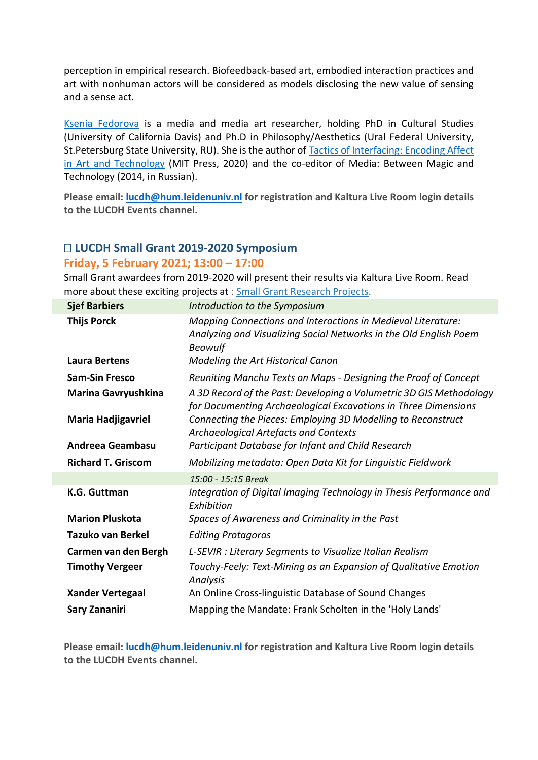perception in empirical research. Biofeedback-based art, embodied interaction practices and art with nonhuman actors will be considered as models disclosing the new value of sensing and a sense act.

[Ksenia Fedorova](https://www.universiteitleiden.nl/en/staffmembers/ksenia-fedorova#tab-2) is a media and media art researcher, holding PhD in Cultural Studies (University of California Davis) and Ph.D in Philosophy/Aesthetics (Ural Federal University, St.Petersburg State University, RU). She is the author o[f Tactics of Interfacing: Encoding Affect](https://mitpress.mit.edu/books/tactics-interfacing)  [in Art and Technology](https://mitpress.mit.edu/books/tactics-interfacing) (MIT Press, 2020) and the co-editor of Media: Between Magic and Technology (2014, in Russian).

**Please email: [lucdh@hum.leidenuniv.nl](mailto:lucdh@hum.leidenuniv.nl) for registration and Kaltura Live Room login details to the LUCDH Events channel.**

## **LUCDH Small Grant 2019-2020 Symposium**

#### **Friday, 5 February 2021; 13:00 – 17:00**

Small Grant awardees from 2019-2020 will present their results via Kaltura Live Room. Read more about these exciting projects at : [Small Grant Research Projects.](https://www.universiteitleiden.nl/en/humanities/centre-for-digital-humanities/projects/small-grant-projects)

| <b>Sjef Barbiers</b>      | Introduction to the Symposium                                                                                                                       |
|---------------------------|-----------------------------------------------------------------------------------------------------------------------------------------------------|
| <b>Thijs Porck</b>        | Mapping Connections and Interactions in Medieval Literature:<br>Analyzing and Visualizing Social Networks in the Old English Poem<br><b>Beowulf</b> |
| Laura Bertens             | Modeling the Art Historical Canon                                                                                                                   |
| <b>Sam-Sin Fresco</b>     | Reuniting Manchu Texts on Maps - Designing the Proof of Concept                                                                                     |
| Marina Gavryushkina       | A 3D Record of the Past: Developing a Volumetric 3D GIS Methodology<br>for Documenting Archaeological Excavations in Three Dimensions               |
| <b>Maria Hadjigavriel</b> | Connecting the Pieces: Employing 3D Modelling to Reconstruct<br>Archaeological Artefacts and Contexts                                               |
| Andreea Geambasu          | Participant Database for Infant and Child Research                                                                                                  |
| <b>Richard T. Griscom</b> | Mobilizing metadata: Open Data Kit for Linguistic Fieldwork                                                                                         |
|                           | 15:00 - 15:15 Break                                                                                                                                 |
| <b>K.G. Guttman</b>       | Integration of Digital Imaging Technology in Thesis Performance and<br>Exhibition                                                                   |
| <b>Marion Pluskota</b>    | Spaces of Awareness and Criminality in the Past                                                                                                     |
| Tazuko van Berkel         | <b>Editing Protagoras</b>                                                                                                                           |
| Carmen van den Bergh      | L-SEVIR : Literary Segments to Visualize Italian Realism                                                                                            |
| <b>Timothy Vergeer</b>    | Touchy-Feely: Text-Mining as an Expansion of Qualitative Emotion<br>Analysis                                                                        |
| <b>Xander Vertegaal</b>   | An Online Cross-linguistic Database of Sound Changes                                                                                                |
| Sary Zananiri             | Mapping the Mandate: Frank Scholten in the 'Holy Lands'                                                                                             |

**Please email: [lucdh@hum.leidenuniv.nl](mailto:lucdh@hum.leidenuniv.nl) for registration and Kaltura Live Room login details to the LUCDH Events channel.**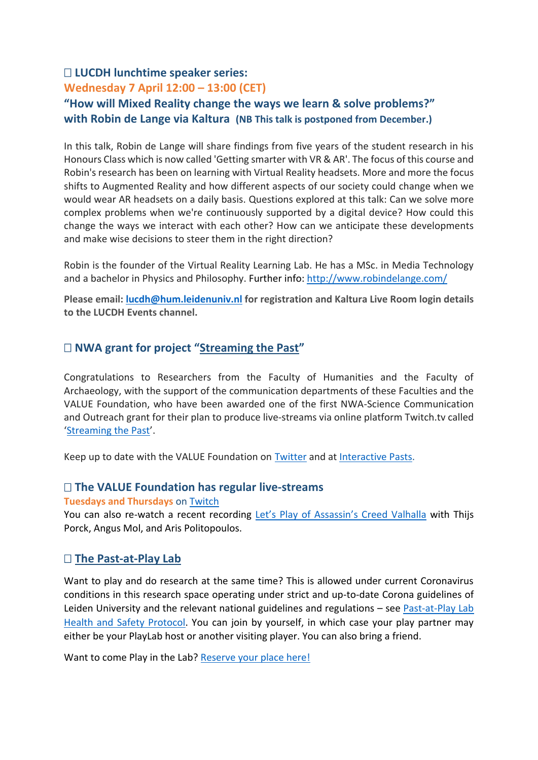# **LUCDH lunchtime speaker series:**

# **Wednesday 7 April 12:00 – 13:00 (CET)**

# **"How will Mixed Reality change the ways we learn & solve problems?" with Robin de Lange via Kaltura (NB This talk is postponed from December.)**

In this talk, Robin de Lange will share findings from five years of the student research in his Honours Class which is now called 'Getting smarter with VR & AR'. The focus of this course and Robin's research has been on learning with Virtual Reality headsets. More and more the focus shifts to Augmented Reality and how different aspects of our society could change when we would wear AR headsets on a daily basis. Questions explored at this talk: Can we solve more complex problems when we're continuously supported by a digital device? How could this change the ways we interact with each other? How can we anticipate these developments and make wise decisions to steer them in the right direction?

Robin is the founder of the Virtual Reality Learning Lab. He has a MSc. in Media Technology and a bachelor in Physics and Philosophy. Further info:<http://www.robindelange.com/>

**Please email: [lucdh@hum.leidenuniv.nl](mailto:lucdh@hum.leidenuniv.nl) for registration and Kaltura Live Room login details to the LUCDH Events channel.**

# **NWA grant for project "[Streaming the Past](https://www.universiteitleiden.nl/en/news/2020/12/nwa-grant-for-project-streaming-the-past)"**

Congratulations to Researchers from the Faculty of Humanities and the Faculty of Archaeology, with the support of the communication departments of these Faculties and the VALUE Foundation, who have been awarded one of the first NWA-Science Communication and Outreach grant for their plan to produce live-streams via online platform Twitch.tv called '[Streaming the Past](https://www.universiteitleiden.nl/en/news/2020/12/nwa-grant-for-project-streaming-the-past)'.

Keep up to date with the VALUE Foundation on [Twitter](https://twitter.com/valuefnd) and at [Interactive Pasts.](https://interactivepasts.com/)

## **The VALUE Foundation has regular live-streams**

**Tuesdays and Thursdays** on [Twitch](https://www.twitch.tv/valuefnd)

You can also re-watch a recent recording [Let's Play of Assassin's Creed Valhalla](https://www.youtube.com/watch?v=PVM-mS6xFuQ&t=1s&ab_channel=VALUE) with Thijs Porck, Angus Mol, and Aris Politopoulos.

## **[The Past-at-Play Lab](https://pastatplay.com/)**

Want to play and do research at the same time? This is allowed under current Coronavirus conditions in this research space operating under strict and up-to-date Corona guidelines of Leiden University and the relevant national guidelines and regulations – see [Past-at-Play Lab](https://pastatplay.com/lab/protocol/)  [Health and Safety Protocol.](https://pastatplay.com/lab/protocol/) You can join by yourself, in which case your play partner may either be your PlayLab host or another visiting player. You can also bring a friend.

Want to come Play in the Lab? [Reserve your place here!](https://pastatplay.com/lab/)